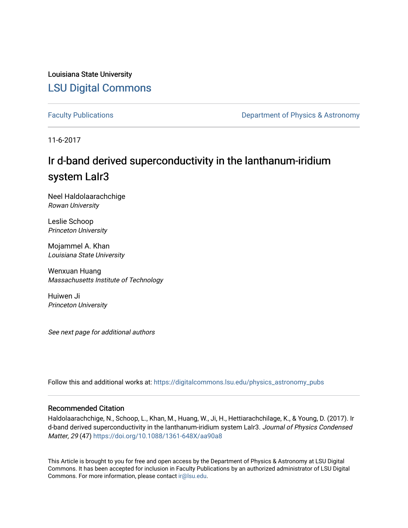Louisiana State University [LSU Digital Commons](https://digitalcommons.lsu.edu/)

[Faculty Publications](https://digitalcommons.lsu.edu/physics_astronomy_pubs) **Exercise 2 and Table 2 and Table 2 and Table 2 and Table 2 and Table 2 and Table 2 and Table 2 and Table 2 and Table 2 and Table 2 and Table 2 and Table 2 and Table 2 and Table 2 and Table 2 and Table** 

11-6-2017

# Ir d-band derived superconductivity in the lanthanum-iridium system LaIr3

Neel Haldolaarachchige Rowan University

Leslie Schoop Princeton University

Mojammel A. Khan Louisiana State University

Wenxuan Huang Massachusetts Institute of Technology

Huiwen Ji Princeton University

See next page for additional authors

Follow this and additional works at: [https://digitalcommons.lsu.edu/physics\\_astronomy\\_pubs](https://digitalcommons.lsu.edu/physics_astronomy_pubs?utm_source=digitalcommons.lsu.edu%2Fphysics_astronomy_pubs%2F5823&utm_medium=PDF&utm_campaign=PDFCoverPages) 

## Recommended Citation

Haldolaarachchige, N., Schoop, L., Khan, M., Huang, W., Ji, H., Hettiarachchilage, K., & Young, D. (2017). Ir d-band derived superconductivity in the lanthanum-iridium system LaIr3. Journal of Physics Condensed Matter, 29 (47)<https://doi.org/10.1088/1361-648X/aa90a8>

This Article is brought to you for free and open access by the Department of Physics & Astronomy at LSU Digital Commons. It has been accepted for inclusion in Faculty Publications by an authorized administrator of LSU Digital Commons. For more information, please contact [ir@lsu.edu](mailto:ir@lsu.edu).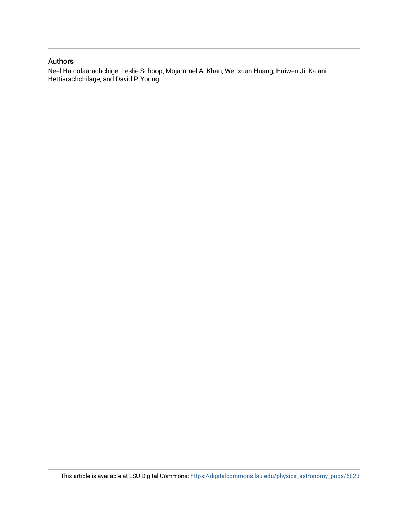## Authors

Neel Haldolaarachchige, Leslie Schoop, Mojammel A. Khan, Wenxuan Huang, Huiwen Ji, Kalani Hettiarachchilage, and David P. Young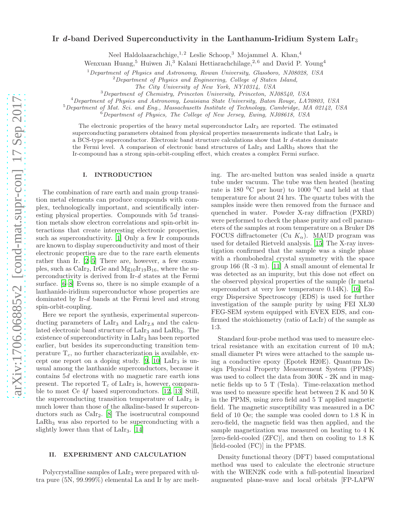### Ir d-band Derived Superconductivity in the Lanthanum-Iridium System LaIr<sub>3</sub>

Neel Haldolaarachchige, <sup>1, 2</sup> Leslie Schoop, <sup>3</sup> Mojammel A. Khan, <sup>4</sup>

Wenxuan Huang,<sup>5</sup> Huiwen Ji,<sup>3</sup> Kalani Hettiarachchilage,<sup>2,6</sup> and David P. Young<sup>4</sup>

 $1$ Department of Physics and Astronomy, Rowan University, Glassboro, NJ08028, USA

 $2$ Department of Physics and Engineering, College of Staten Island,

The City University of New York, NY10314, USA

<sup>3</sup>Department of Chemistry, Princeton University, Princeton, NJ08540, USA

<sup>4</sup>Department of Physics and Astronomy, Louisiana State University, Baton Rouge, LA70803, USA

<sup>5</sup>Department of Mat. Sci. and Eng., Massachusetts Institute of Technology, Cambridge, MA 02142, USA

 $6$ Department of Physics, The College of New Jersey, Ewing, NJ08618, USA

The electronic properties of the heavy metal superconductor  $\text{LaIr}_3$  are reported. The estimated superconducting parameters obtained from physical properties measurements indicate that  $\text{LaIr}_3$  is a BCS-type superconductor. Electronic band structure calculations show that Ir d-states dominate the Fermi level. A comparison of electronic band structures of LaIr<sub>3</sub> and LaRh<sub>3</sub> shows that the Ir-compound has a strong spin-orbit-coupling effect, which creates a complex Fermi surface.

#### I. INTRODUCTION

The combination of rare earth and main group transition metal elements can produce compounds with complex, technologically important, and scientifically interesting physical properties. Compounds with 5d transition metals show electron correlations and spin-orbit interactions that create interesting electronic properties, such as superconductivity. [\[1](#page-6-0)] Only a few Ir compounds are known to display superconductivity and most of their electronic properties are due to the rare earth elements rather than Ir. [\[2](#page-7-0)[–5\]](#page-7-1) There are, however, a few examples, such as  $CaIr_2$ , IrGe and  $Mg_{10}Ir_{19}B_{16}$ , where the superconductivity is derived from Ir-d states at the Fermi surface. [\[6](#page-7-2)[–8\]](#page-7-3) Evens so, there is no simple example of a lanthanide-iridium superconductor whose properties are dominated by Ir-d bands at the Fermi level and strong spin-orbit-coupling.

Here we report the synthesis, experimental superconducting parameters of  $LaIr<sub>3</sub>$  and  $LaIr<sub>2.8</sub>$  and the calculated electronic band structure of LaIr<sub>3</sub> and LaRh<sub>3</sub>. The existence of superconductivity in LaIr<sub>3</sub> has been reported earlier, but besides its superconducting transition temperature  $T_c$ , no further characterization is available, ex-cept one report on a doping study. [\[9](#page-7-4), [10\]](#page-7-5) LaIr<sub>3</sub> is unusual among the lanthanide superconductors, because it contains 5d electrons with no magnetic rare earth ions present. The reported  $T_c$  of LaIr<sub>3</sub> is, however, comparable to most Ce 4f based superconductors. [\[12,](#page-7-6) [13](#page-7-7)] Still, the superconducting transition temperature of  $LaIr<sub>3</sub>$  is much lower than those of the alkaline-based Ir superconductors such as CaIr2. [\[8\]](#page-7-3) The isostrucutral compound  $LaRh<sub>3</sub>$  was also reported to be superconducting with a slightly lower than that of  $LaIr<sub>3</sub>$ . [\[14](#page-7-8)]

#### II. EXPERIMENT AND CALCULATION

Polycrystalline samples of LaIr<sup>3</sup> were prepared with ultra pure (5N, 99.999%) elemental La and Ir by arc melting. The arc-melted button was sealed inside a quartz tube under vacuum. The tube was then heated (heating rate is 180  $^{\circ}$ C per hour) to 1000  $^{\circ}$ C and held at that temperature for about 24 hrs. The quartz tubes with the samples inside were then removed from the furnace and quenched in water. Powder X-ray diffraction (PXRD) were performed to check the phase purity and cell parameters of the samples at room temperature on a Bruker D8 FOCUS diffractometer (Cu  $K_{\alpha}$ ). MAUD program was used for detailed Rietveld analysis. [\[15\]](#page-7-9) The X-ray investigation confirmed that the sample was a single phase with a rhombohedral crystal symmetry with the space group 166 (R -3 m). [\[11](#page-7-10)] A small amount of elemental Ir was detected as an impurity, but this dose not effect on the observed physical properties of the sample (Ir metal superconduct at very low temperature 0.14K). [\[16\]](#page-7-11) Energy Dispersive Spectroscopy (EDS) is used for further investigation of the sample purity by using FEI XL30 FEG-SEM system equipped with EVEX EDS, and confirmed the stoichiometry (ratio of La:Ir) of the sample as 1:3.

Standard four-probe method was used to measure electrical resistance with an excitation current of 10 mA; small diameter Pt wires were attached to the sample using a conductive epoxy (Epotek H20E). Quantum Design Physical Property Measurement System (PPMS) was used to collect the data from 300K - 2K and in magnetic fields up to 5 T (Tesla). Time-relaxation method was used to measure specific heat between 2 K and 50 K in the PPMS, using zero field and 5 T applied magnetic field. The magnetic susceptibility was measured in a DC field of 10 Oe; the sample was cooled down to 1.8 K in zero-field, the magnetic field was then applied, and the sample magnetization was measured on heating to 4 K [zero-field-cooled (ZFC)], and then on cooling to 1.8 K [field-cooled (FC)] in the PPMS.

Density functional theory (DFT) based computational method was used to calculate the electronic structure with the WIEN2K code with a full-potential linearized augmented plane-wave and local orbitals [FP-LAPW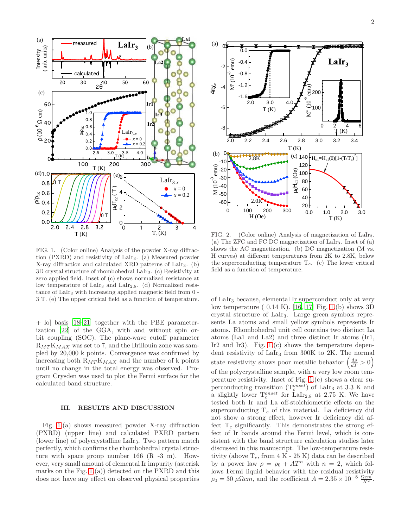

<span id="page-3-0"></span>FIG. 1. (Color online) Analysis of the powder X-ray diffraction (PXRD) and resistivity of LaIr3. (a) Measured powder X-ray diffraction and calculated XRD patterns of LaIr3. (b) 3D crystal structure of rhombohedral LaIr3. (c) Resistivity at zero applied field. Inset of (c) shows normalized resistance at low temperature of LaIr<sub>3</sub> and LaIr<sub>2.8</sub>. (d) Normalized resistance of LaIr<sub>3</sub> with increasing applied magnetic field from 0 -3 T. (e) The upper critical field as a function of temperature.

+ lo] basis [\[18](#page-7-12)[–21](#page-7-13)] together with the PBE parameterization [\[22\]](#page-7-14) of the GGA, with and without spin orbit coupling (SOC). The plane-wave cutoff parameter  $R_{MT}K_{MAX}$  was set to 7, and the Brillouin zone was sampled by 20,000 k points. Convergence was confirmed by increasing both  $R_{MT}K_{MAX}$  and the number of k points until no change in the total energy was observed. Program Crysden was used to plot the Fermi surface for the calculated band structure.

#### III. RESULTS AND DISCUSSION

Fig. [1.](#page-3-0)(a) shows measured powder X-ray diffraction (PXRD) (upper line) and calculated PXRD pattern (lower line) of polycrystalline LaIr3. Two pattern match perfectly, which confirms the rhombohedral crystal structure with space group number 166 (R -3 m). However, very small amount of elemental Ir impurity (asterisk marks on the Fig.  $1.(a)$  detected on the PXRD and this does not have any effect on observed physical properties



<span id="page-3-1"></span>FIG. 2. (Color online) Analysis of magnetization of LaIr3. (a) The ZFC and FC DC magnetization of LaIr3. Inset of (a) shows the AC magnetization. (b) DC magnetization (M vs. H curves) at different temperatures from 2K to 2.8K, below the superconducting temperature  $T_c$ . (c) The lower critical field as a function of temperature.

of LaIr<sup>3</sup> because, elemental Ir superconduct only at very low temperature ( 0.14 K). [\[16](#page-7-11), [17\]](#page-7-15) Fig. [1.](#page-3-0)(b) shows 3D crystal structure of LaIr3. Large green symbols represents La atoms and small yellow symbols represents Ir atoms. Rhombohedral unit cell contains two distinct La atoms (La1 and La2) and three distinct Ir atoms (Ir1, Ir2 and Ir3). Fig.  $1.(c)$  shows the temperature dependent resistivity of  $LaIr<sub>3</sub>$  from 300K to 2K. The normal state resistivity shows poor metallic behavior  $\left(\frac{d\rho}{dT} > 0\right)$ of the polycrystalline sample, with a very low room temperature resistivity. Inset of Fig. [1.](#page-3-0)(c) shows a clear superconducting transition  $(T_c^{onset})$  of LaIr<sub>3</sub> at 3.3 K and a slightly lower  $T_c^{onset}$  for LaIr<sub>2.8</sub> at 2.75 K. We have tested both Ir and La off-stoichiometric effects on the superconducting  $T_c$  of this material. La deficiency did not show a strong effect, however Ir deficiency did affect  $T_c$  significantly. This demonstrates the strong effect of Ir bands around the Fermi level, which is consistent with the band structure calculation studies later discussed in this manuscript. The low-temperature resistivity (above  $T_c$ , from  $4 K - 25 K$ ) data can be described by a power law  $\rho = \rho_0 + AT^n$  with  $n = 2$ , which follows Fermi liquid behavior with the residual resistivity  $\rho_0 = 30 \ \mu \Omega cm$ , and the coefficient  $A = 2.35 \times 10^{-8} \frac{\Omega cm^3}{K^2}$ .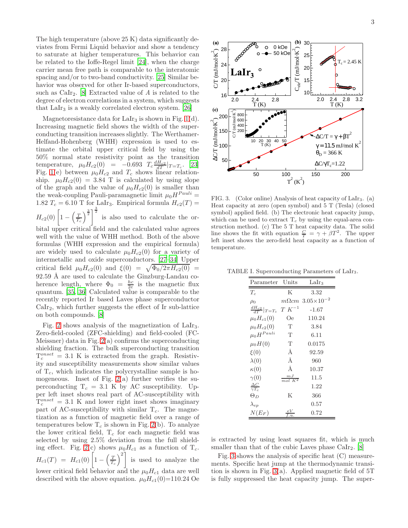The high temperature (above 25 K) data significantly deviates from Fermi Liquid behavior and show a tendency to saturate at higher temperatures. This behavior can be related to the Ioffe-Regel limit [\[24](#page-7-16)], when the charge carrier mean free path is comparable to the interatomic spacing and/or to two-band conductivity. [\[25\]](#page-7-17) Similar behavior was observed for other Ir-based superconductors, such as  $\text{Calr}_2$ . [\[8\]](#page-7-3) Extracted value of A is related to the degree of electron correlations in a system, which suggests that  $LaIr<sub>3</sub>$  is a weakly correlated electron system. [\[26](#page-7-18)]

Magnetoresistance data for LaIr<sub>3</sub> is shown in Fig. [1\(](#page-3-0)d). Increasing magnetic field shows the width of the superconducting transition increases slightly. The Werthamer-Helfand-Hohenberg (WHH) expression is used to estimate the orbital upper critical field by using the 50% normal state resistivity point as the transition temperature,  $\mu_0 H_{c2}(0) = -0.693 \ T_c \frac{dH_{c2}}{dT}|_{T=T_c}$ . [\[23](#page-7-19)] Fig. [1\(](#page-3-0)e) between  $\mu_0H_{c2}$  and  $T_c$  shows linear relationship.  $\mu_0H_{c2}(0) = 3.84$  T is calculated by using slope of the graph and the value of  $\mu_0H_{c2}(0)$  is smaller than the weak-coupling Pauli-paramagnetic limit  $\mu_0 H^{Pauli} =$ 1.82  $T_c = 6.10$  T for LaIr<sub>3</sub>. Empirical formula  $H_{c2}(T) =$  $H_{c2}(0)\left[1-\left(\frac{T}{T_c}\right)^{\frac{3}{2}}\right]^{\frac{3}{2}}$  is also used to calculate the or-

bital upper critical field and the calculated value agrees well with the value of WHH method. Both of the above formulas (WHH expression and the empirical formula) are widely used to calculate  $\mu_0H_{c2}(0)$  for a variety of intermetallic and oxide superconductors. [\[27](#page-7-20)[–34](#page-7-21)] Upper critical field  $\mu_0 H_{c2}(0)$  and  $\xi(0) = \sqrt{\Phi_0/2\pi H_{c2}(0)}$  $92.59$  Å are used to calculate the Ginzburg-Landau coherence length, where  $\Phi_0 = \frac{hc}{2e}$  is the magnetic flux quantum. [\[35,](#page-7-22) [36\]](#page-7-23) Calculated value is comparable to the recently reported Ir based Laves phase superconductor CaIr2, which further suggests the effect of Ir sub-lattice on both compounds. [\[8](#page-7-3)]

Fig. [2](#page-3-1) shows analysis of the magnetization of  $LaIr<sub>3</sub>$ . Zero-field-cooled (ZFC-shielding) and field-cooled (FC-Meissner) data in Fig.  $2(a)$  confirms the superconducting shielding fraction. The bulk superconducting transition  $T_c^{onset} = 3.1$  K is extracted from the graph. Resistivity and susceptibility measurements show similar values of  $T_c$ , which indicates the polycrystalline sample is homogeneous. Inset of Fig.  $2(a)$  further verifies the superconducting  $T_c = 3.1$  K by AC susceptibility. Upper left inset shows real part of AC-susceptibility with  $T_c^{onset} = 3.1$  K and lower right inset shows imaginary part of AC-susceptibility with similar  $T_c$ . The magnetization as a function of magnetic field over a range of temperatures below  $T_c$  is shown in Fig. [2\(](#page-3-1)b). To analyze the lower critical field,  $T_c$  for each magnetic field was selected by using 2.5% deviation from the full shield-ing effect. Fig. [2\(](#page-3-1)c) shows  $\mu_0 H_{c1}$  as a function of  $T_c$ .  $H_{c1}(T) = H_{c1}(0) \left[1 - \left(\frac{T}{T_c}\right)^2\right]$  is used to analyze the lower critical field behavior and the  $\mu_0H_{c1}$  data are well described with the above equation.  $\mu_0 H_{c1}(0)=110.24$  Oe



<span id="page-4-0"></span>FIG. 3. (Color online) Analysis of heat capacity of LaIr3. (a) Heat capacity at zero (open symbol) and 5 T (Tesla) (closed symbol) applied field. (b) The electronic heat capacity jump, which can be used to extract  $T_c$  by using the equal-area construction method. (c) The 5 T heat capacity data. The solid line shows the fit with equation  $\frac{C}{T} = \gamma + \beta T^2$ . The upper left inset shows the zero-field heat capacity as a function of temperature.

TABLE I. Superconducting Parameters of LaIr3.

<span id="page-4-1"></span>

| Parameter                     | Units                    | LaIr <sub>3</sub>    |
|-------------------------------|--------------------------|----------------------|
| $T_c$                         | K                        | 3.32                 |
| $\rho_0$                      |                          | $m\Omega$ cm 3.05×10 |
| $\frac{dH_{c2}}{dT} _{T=T_c}$ | $T K^{-1}$               | $-1.67$              |
| $\mu_0H_{c1}(0)$              | Оe                       | 110.24               |
| $\mu_0 H_{c2}(0)$             | T                        | 3.84                 |
| $\mu_0 H^{Pauli}$             | T                        | 6.11                 |
| $\mu_0H(0)$                   | T                        | 0.0175               |
| $\xi(0)$                      | Å                        | 92.59                |
| $\lambda(0)$                  | Å                        | 960                  |
| $\kappa(0)$                   | Å                        | 10.37                |
| $\gamma(0)$                   | $\frac{mJ}{mol\ K^2}$    | 11.5                 |
| $\frac{\Delta C}{\gamma T_c}$ |                          | 1.22                 |
| $\Theta_D$                    | $\mathbf K$              | 366                  |
| $\lambda_{ep}$                |                          | $0.57\,$             |
| $N(E_F)$                      | eV<br>$^{\rm c}$ . $u$ . | $\rm 0.72$           |

is extracted by using least squares fit, which is much smaller than that of the cubic Laves phase  $CaIr_2$ . [\[8](#page-7-3)]

Fig. [3](#page-4-0) shows the analysis of specific heat (C) measurements. Specific heat jump at the thermodynamic transition is shown in Fig.  $3(a)$ . Applied magnetic field of 5T is fully suppressed the heat capacity jump. The super-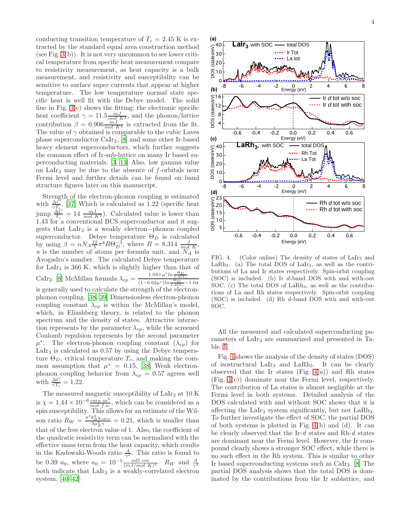4

conducting transition temperature of  $T_c = 2.45$  K is extracted by the standard equal area construction method (see Fig.  $3(b)$ ). It is not very uncommon to see lower critical temperature from specific heat measurement compare to resistivity measurement, as heat capacity is a bulk measurement, and resistivity and susceptibility can be sensitive to surface super currents that appear at higher temperature. The low temperature normal state specific heat is well fit with the Debye model. The solid line in Fig. [3\(](#page-4-0)c) shows the fitting; the electronic specific heat coefficient  $\gamma = 11.5 \frac{mJ}{mol_{\star} K^2}$ , and the phonon/lattice contribution  $\beta = 0.906 \frac{mJ}{mol K^4}$  is extracted from the fit. The value of  $\gamma$  obtained is comparable to the cubic Laves phase superconductor CaIr2, [\[8\]](#page-7-3) and some other Ir-based heavy element superconductors, which further suggests the common effect of Ir-sub-lattice on many Ir based superconducting materials. [\[3,](#page-7-24) [13](#page-7-7)] Also, low gamma value on LaIr<sub>3</sub> may be due to the absence of  $f$ -orbitals near Fermi level and further details can be found on band structure figures later on this manuscript.

Strength of the electron-phonon coupling is estimated with  $\frac{\Delta C}{\gamma T_c}$ . [\[37\]](#page-7-25) Which is calculated as 1.22 (specific heat  $\lim_{T_c} \frac{\Delta C}{T_c} = 14 \frac{mJ}{mol \cdot K^2}$ . Calculated value is lower than 1.43 for a conventional BCS superconductor and it suggests that LaIr<sub>3</sub> is a weakly electron-phonon coupled superconductor. Debye temperature  $\Theta_D$  is calculated by using  $\beta = nN_A \frac{12}{5} \pi^4 R \Theta_D^{-3}$ , where  $R = 8.314 \frac{J}{mol \cdot K}$ , n is the number of atoms per formula unit, and  $N_A$  is Avogadro's number. The calculated Debye temperature for  $LaIr<sub>3</sub>$  is 366 K, which is slightly higher than that of CaIr<sub>2</sub>. [\[8\]](#page-7-3) McMillan formula  $\lambda_{ep} = \frac{1.04 + \mu^* ln \frac{\Theta_D}{1.45T_c}}{(1 - 0.62\mu^*) ln \frac{\Theta_D}{1.45T_c} - 1.04}$ is generally used to calculate the strength of the electronphonon coupling. [\[38,](#page-7-26) [39\]](#page-7-27) Dimensionless electron-phonon coupling constant  $\lambda_{ep}$  is within the McMillan's model, which, in Eliashberg theory, is related to the phonon spectrum and the density of states. Attractive interaction represents by the parameter  $\lambda_{ep}$ , while the screened Coulomb repulsion represents by the second parameter  $\mu^*$ . The electron-phonon coupling constant  $(\lambda_{ep})$  for LaIr<sup>3</sup> is calculated as 0.57 by using the Debye temperature  $\Theta_D$ , critical temperature  $T_c$ , and making the common assumption that  $\mu^* = 0.15$ , [\[38](#page-7-26)] Weak electronphonon coupling behavior from  $\lambda_{ep} = 0.57$  agrees well with  $\frac{\Delta C}{\gamma T_c} = 1.22$ .

The measured magnetic susceptibility of  $LaIr<sub>3</sub>$  at 10 K is  $\chi = 1.44 \times 10^{-6} \frac{emu m^3}{mol f.u.}$ , which can be considered as a spin susceptibility. This allows for an estimate of the Wilson ratio  $R_W = \frac{\pi^2 k_B^2 \chi_{spin}}{3 \mu_B^2 \gamma} = 0.21$ , which is smaller than that of the free electron value of 1. Also, the coefficient of the quadratic resistivity term can be normalized with the effective mass term from the heat capacity, which results in the Kadowaki-Woods ratio  $\frac{A}{\gamma^2}$ . This ratio is found to be 0.39  $a_0$ , where  $a_0 = 10^{-5} \frac{m\Omega \ cm}{(mJ/mol \ K)^2}$ .  $R_W$  and  $\frac{A}{\gamma^2}$ both indicate that  $LaIr<sub>3</sub>$  is a weakly-correlated electron system. [\[40](#page-7-28)[–42\]](#page-7-29)



<span id="page-5-0"></span>FIG. 4. (Color online) The density of states of LaIr<sub>3</sub> and LaRh<sub>3</sub>. (a) The total DOS of LaIr<sub>3</sub>, as well as the contributions of La and Ir states respectively. Spin-orbit coupling (SOC) is included. (b) Ir d-band DOS with and with-out SOC. (c) The total DOS of LaRh<sub>3</sub>, as well as the contributions of La and Rh states respectively. Spin-orbit coupling (SOC) is included. (d) Rh d-band DOS with and with-out SOC.

All the measured and calculated superconducting parameters of LaIr<sub>3</sub> are summarized and presented in Table. [I.](#page-4-1)

Fig. [4](#page-5-0) shows the analysis of the density of states (DOS) of isostructural LaIr<sup>3</sup> and LaRh3. It can be clearly observed that the Ir states (Fig.  $4(a)$ ) and Rh states (Fig. [4\(](#page-5-0)c)) dominate near the Fermi level, respectively. The contribution of La states is almost negligible at the Fermi level in both systems. Detailed analysis of the DOS calculated with and without SOC shows that it is affecting the LaIr<sub>3</sub> system significantly, but not LaRh<sub>3</sub>. To further investigate the effect of SOC, the partial DOS of both systems is plotted in Fig. [4\(](#page-5-0)b) and (d). It can be clearly observed that the Ir- $d$  states and Rh- $d$  states are dominant near the Fermi level. However, the Ir compound clearly shows a stronger SOC effect, while there is no such effect in the Rh system. This is similar to other Ir based superconducting systems such as  $\text{Calr}_2$ . [\[8\]](#page-7-3) The partial DOS analysis shows that the total DOS is dominated by the contributions from the Ir sublattice, and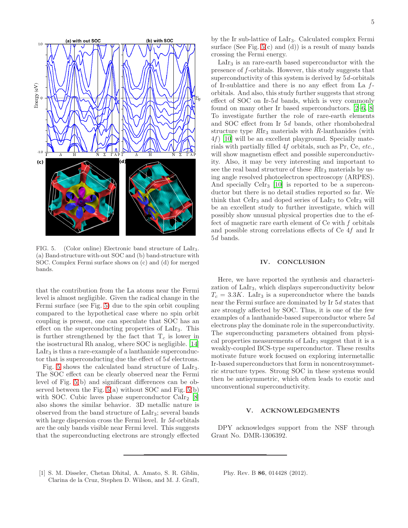

<span id="page-6-1"></span>FIG. 5. (Color online) Electronic band structure of LaIr3. (a) Band-structure with-out SOC and (b) band-structure with SOC. Complex Fermi surface shows on (c) and (d) for merged bands.

that the contribution from the La atoms near the Fermi level is almost negligible. Given the radical change in the Fermi surface (see Fig. [5\)](#page-6-1) due to the spin orbit coupling compared to the hypothetical case where no spin orbit coupling is present, one can speculate that SOC has an effect on the superconducting properties of LaIr3. This is further strengthened by the fact that  $T_c$  is lower in the isostructural Rh analog, where SOC is negligible. [\[14](#page-7-8)]  $LaIr<sub>3</sub>$  is thus a rare-example of a lanthanide superconductor that is superconducting due the effect of 5d electrons.

Fig. [5](#page-6-1) shows the calculated band structure of LaIr3. The SOC effect can be clearly observed near the Fermi level of Fig. [5\(](#page-6-1)b) and significant differences can be observed between the Fig.  $5(a)$  without SOC and Fig.  $5(b)$ with SOC. Cubic laves phase superconductor  $\text{CaIr}_2$  [\[8](#page-7-3)] also shows the similar behavior. 3D metallic nature is observed from the band structure of LaIr3; several bands with large dispersion cross the Fermi level. In 5d-orbitals are the only bands visible near Fermi level. This suggests that the superconducting electrons are strongly effected

by the Ir sub-lattice of LaIr3. Calculated complex Fermi surface (See Fig.  $5(c)$  and (d)) is a result of many bands crossing the Fermi energy.

LaIr<sub>3</sub> is an rare-earth based superconductor with the presence of f-orbitals. However, this study suggests that superconductivity of this system is derived by 5d-orbitals of Ir-sublattice and there is no any effect from La forbitals. And also, this study further suggests that strong effect of SOC on Ir-5d bands, which is very commonly found on many other Ir based superconductors. [\[2](#page-7-0)[–6,](#page-7-2) [8](#page-7-3)] To investigate further the role of rare-earth elements and SOC effect from Ir 5d bands, other rhombohedral structure type  $RIr<sub>3</sub>$  materials with  $R$ -lanthanides (with  $4f$  [\[10\]](#page-7-5) will be an excellent playground. Specially materials with partially filled 4f orbitals, such as Pr, Ce, etc., will show magnetism effect and possible superconductivity. Also, it may be very interesting and important to see the real band structure of these  $RIr<sub>3</sub>$  materials by using angle resolved photoelectron spectroscopy (ARPES). And specially  $Cer_{3}$  [\[10\]](#page-7-5) is reported to be a superconductor but there is no detail studies reported so far. We think that  $Cer_{3}$  and doped series of  $LaIr_{3}$  to  $Cer_{3}$  will be an excellent study to further investigate, which will possibly show unusual physical properties due to the effect of magnetic rare earth element of  $Ce$  with  $f$  orbitals and possible strong correlations effects of Ce 4f and Ir 5d bands.

#### IV. CONCLUSION

Here, we have reported the synthesis and characterization of LaIr3, which displays superconductivity below  $T_c = 3.3K$ . LaIr<sub>3</sub> is a superconductor where the bands near the Fermi surface are dominated by Ir 5d states that are strongly affected by SOC. Thus, it is one of the few examples of a lanthanide-based superconductor where 5d electrons play the dominate role in the superconductivity. The superconducting parameters obtained from physical properties measurements of LaIr<sup>3</sup> suggest that it is a weakly-coupled BCS-type superconductor. These results motivate future work focused on exploring intermetallic Ir-based superconductors that form in noncentrosymmetric structure types. Strong SOC in these systems would then be antisymmetric, which often leads to exotic and unconventional superconductivity.

#### V. ACKNOWLEDGMENTS

DPY acknowledges support from the NSF through Grant No. DMR-1306392.

<span id="page-6-0"></span>[1] S. M. Disseler, Chetan Dhital, A. Amato, S. R. Giblin, Clarina de la Cruz, Stephen D. Wilson, and M. J. Graf1, Phy. Rev. B 86, 014428 (2012).